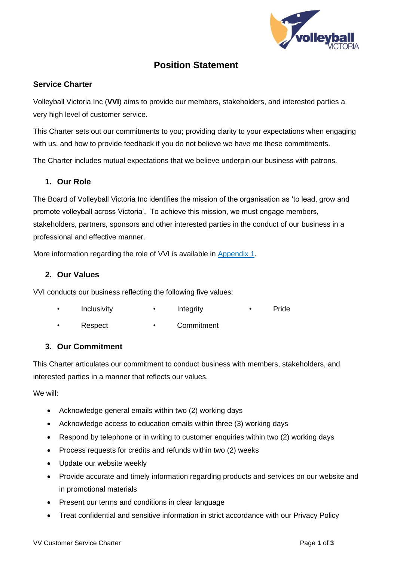

# **Position Statement**

### **Service Charter**

Volleyball Victoria Inc (**VVI**) aims to provide our members, stakeholders, and interested parties a very high level of customer service.

This Charter sets out our commitments to you; providing clarity to your expectations when engaging with us, and how to provide feedback if you do not believe we have me these commitments.

The Charter includes mutual expectations that we believe underpin our business with patrons.

### **1. Our Role**

The Board of Volleyball Victoria Inc identifies the mission of the organisation as 'to lead, grow and promote volleyball across Victoria'. To achieve this mission, we must engage members, stakeholders, partners, sponsors and other interested parties in the conduct of our business in a professional and effective manner.

More information regarding the role of VVI is available in [Appendix 1.](#page-1-0)

### **2. Our Values**

VVI conducts our business reflecting the following five values:

Inclusivity • Integrity • Pride

Respect • Commitment

### **3. Our Commitment**

This Charter articulates our commitment to conduct business with members, stakeholders, and interested parties in a manner that reflects our values.

We will:

- Acknowledge general emails within two (2) working days
- Acknowledge access to education emails within three (3) working days
- Respond by telephone or in writing to customer enquiries within two (2) working days
- Process requests for credits and refunds within two (2) weeks
- Update our website weekly
- Provide accurate and timely information regarding products and services on our website and in promotional materials
- Present our terms and conditions in clear language
- Treat confidential and sensitive information in strict accordance with our Privacy Policy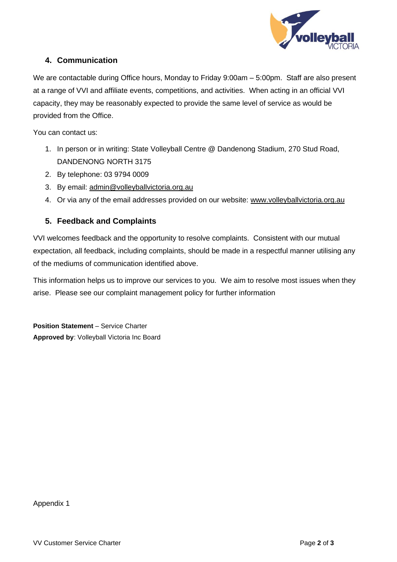

### **4. Communication**

We are contactable during Office hours, Monday to Friday 9:00am – 5:00pm. Staff are also present at a range of VVI and affiliate events, competitions, and activities. When acting in an official VVI capacity, they may be reasonably expected to provide the same level of service as would be provided from the Office.

You can contact us:

- 1. In person or in writing: State Volleyball Centre @ Dandenong Stadium, 270 Stud Road, DANDENONG NORTH 3175
- 2. By telephone: 03 9794 0009
- 3. By email: [admin@volleyballvictoria.org.au](mailto:admin@volleyballvictoria.org.au)
- 4. Or via any of the email addresses provided on our website: [www.volleyballvictoria.org.au](http://www.volleyballvictoria.org.au/)

## **5. Feedback and Complaints**

VVI welcomes feedback and the opportunity to resolve complaints. Consistent with our mutual expectation, all feedback, including complaints, should be made in a respectful manner utilising any of the mediums of communication identified above.

This information helps us to improve our services to you. We aim to resolve most issues when they arise. Please see our complaint management policy for further information

<span id="page-1-0"></span>**Position Statement** – Service Charter **Approved by**: Volleyball Victoria Inc Board

Appendix 1